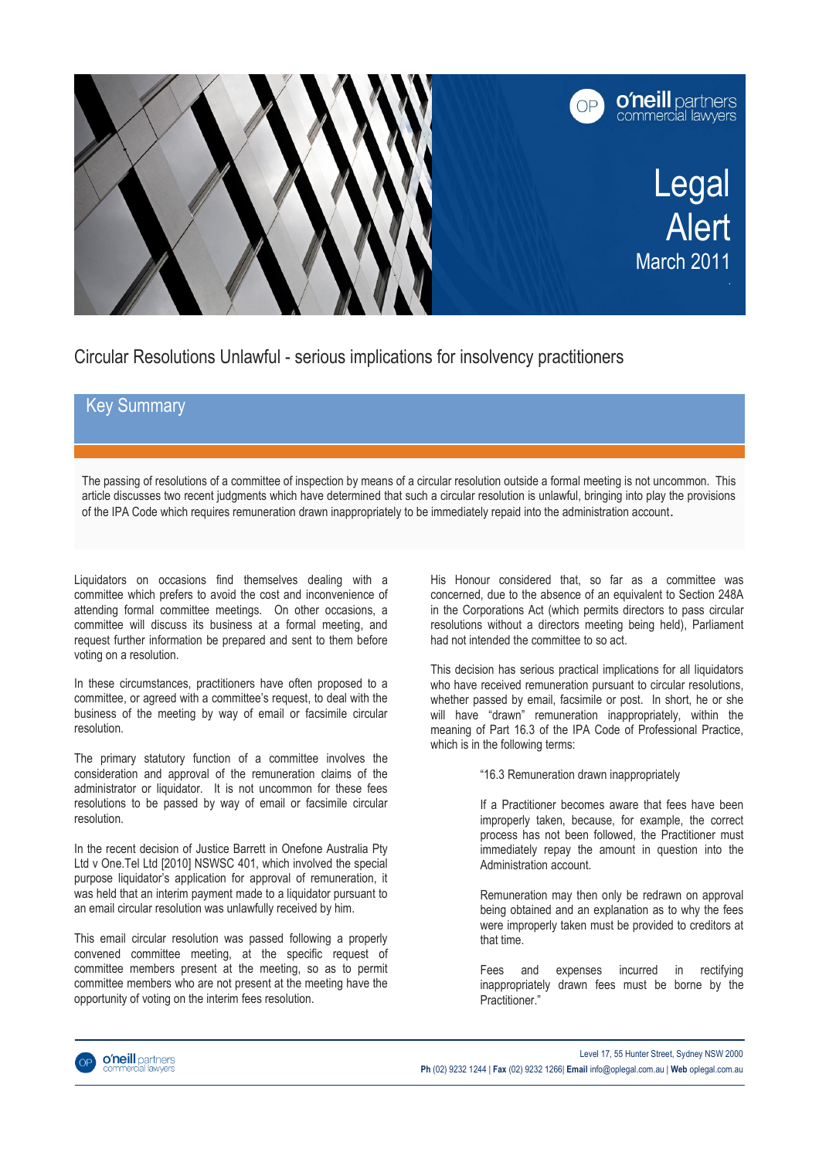

Circular Resolutions Unlawful - serious implications for insolvency practitioners

## Key Summary

The passing of resolutions of a committee of inspection by means of a circular resolution outside a formal meeting is not uncommon. This article discusses two recent judgments which have determined that such a circular resolution is unlawful, bringing into play the provisions of the IPA Code which requires remuneration drawn inappropriately to be immediately repaid into the administration account.

Liquidators on occasions find themselves dealing with a committee which prefers to avoid the cost and inconvenience of attending formal committee meetings. On other occasions, a committee will discuss its business at a formal meeting, and request further information be prepared and sent to them before voting on a resolution.

In these circumstances, practitioners have often proposed to a committee, or agreed with a committee's request, to deal with the business of the meeting by way of email or facsimile circular resolution.

The primary statutory function of a committee involves the consideration and approval of the remuneration claims of the administrator or liquidator. It is not uncommon for these fees resolutions to be passed by way of email or facsimile circular resolution.

In the recent decision of Justice Barrett in Onefone Australia Pty Ltd v One.Tel Ltd [2010] NSWSC 401, which involved the special purpose liquidator's application for approval of remuneration, it was held that an interim payment made to a liquidator pursuant to an email circular resolution was unlawfully received by him.

This email circular resolution was passed following a properly convened committee meeting, at the specific request of committee members present at the meeting, so as to permit committee members who are not present at the meeting have the opportunity of voting on the interim fees resolution.

His Honour considered that, so far as a committee was concerned, due to the absence of an equivalent to Section 248A in the Corporations Act (which permits directors to pass circular resolutions without a directors meeting being held), Parliament had not intended the committee to so act.

This decision has serious practical implications for all liquidators who have received remuneration pursuant to circular resolutions, whether passed by email, facsimile or post. In short, he or she will have "drawn" remuneration inappropriately, within the meaning of Part 16.3 of the IPA Code of Professional Practice, which is in the following terms:

"16.3 Remuneration drawn inappropriately

If a Practitioner becomes aware that fees have been improperly taken, because, for example, the correct process has not been followed, the Practitioner must immediately repay the amount in question into the Administration account.

Remuneration may then only be redrawn on approval being obtained and an explanation as to why the fees were improperly taken must be provided to creditors at that time.

Fees and expenses incurred in rectifying inappropriately drawn fees must be borne by the Practitioner."